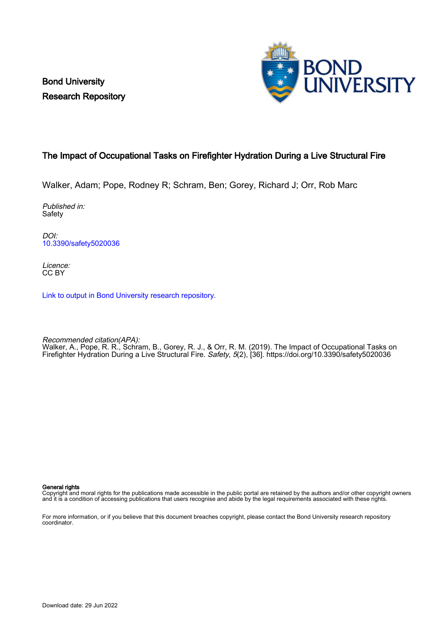Bond University Research Repository



# The Impact of Occupational Tasks on Firefighter Hydration During a Live Structural Fire

Walker, Adam; Pope, Rodney R; Schram, Ben; Gorey, Richard J; Orr, Rob Marc

Published in: **Safety** 

DOI: [10.3390/safety5020036](https://doi.org/10.3390/safety5020036)

Licence: CC BY

[Link to output in Bond University research repository.](https://research.bond.edu.au/en/publications/fd02a1db-200e-4679-892f-133b2649a302)

Recommended citation(APA): Walker, A., Pope, R. R., Schram, B., Gorey, R. J., & Orr, R. M. (2019). The Impact of Occupational Tasks on Firefighter Hydration During a Live Structural Fire. *Safety, 5*(2), [36]. <https://doi.org/10.3390/safety5020036>

General rights

Copyright and moral rights for the publications made accessible in the public portal are retained by the authors and/or other copyright owners and it is a condition of accessing publications that users recognise and abide by the legal requirements associated with these rights.

For more information, or if you believe that this document breaches copyright, please contact the Bond University research repository coordinator.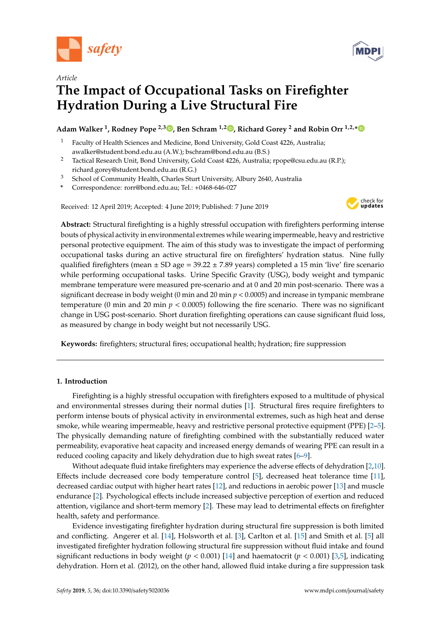



# **The Impact of Occupational Tasks on Firefighter Hydration During a Live Structural Fire**

**Adam Walker <sup>1</sup> , Rodney Pope 2,3 [,](https://orcid.org/0000-0002-1320-5801) Ben Schram 1,2 [,](https://orcid.org/0000-0002-1865-0488) Richard Gorey <sup>2</sup> and Robin Orr 1,2,[\\*](https://orcid.org/0000-0001-8297-8288)**

- <sup>1</sup> Faculty of Health Sciences and Medicine, Bond University, Gold Coast 4226, Australia; awalker@student.bond.edu.au (A.W.); bschram@bond.edu.au (B.S.)
- <sup>2</sup> Tactical Research Unit, Bond University, Gold Coast 4226, Australia; rpope@csu.edu.au (R.P.); richard.gorey@student.bond.edu.au (R.G.)
- <sup>3</sup> School of Community Health, Charles Sturt University, Albury 2640, Australia
- **\*** Correspondence: rorr@bond.edu.au; Tel.: +0468-646-027

Received: 12 April 2019; Accepted: 4 June 2019; Published: 7 June 2019



**Abstract:** Structural firefighting is a highly stressful occupation with firefighters performing intense bouts of physical activity in environmental extremes while wearing impermeable, heavy and restrictive personal protective equipment. The aim of this study was to investigate the impact of performing occupational tasks during an active structural fire on firefighters' hydration status. Nine fully qualified firefighters (mean  $\pm$  SD age = 39.22  $\pm$  7.89 years) completed a 15 min 'live' fire scenario while performing occupational tasks. Urine Specific Gravity (USG), body weight and tympanic membrane temperature were measured pre-scenario and at 0 and 20 min post-scenario. There was a significant decrease in body weight (0 min and 20 min *p* < 0.0005) and increase in tympanic membrane temperature (0 min and 20 min  $p < 0.0005$ ) following the fire scenario. There was no significant change in USG post-scenario. Short duration firefighting operations can cause significant fluid loss, as measured by change in body weight but not necessarily USG.

**Keywords:** firefighters; structural fires; occupational health; hydration; fire suppression

# **1. Introduction**

Firefighting is a highly stressful occupation with firefighters exposed to a multitude of physical and environmental stresses during their normal duties [\[1\]](#page-8-0). Structural fires require firefighters to perform intense bouts of physical activity in environmental extremes, such as high heat and dense smoke, while wearing impermeable, heavy and restrictive personal protective equipment (PPE) [\[2–](#page-8-1)[5\]](#page-8-2). The physically demanding nature of firefighting combined with the substantially reduced water permeability, evaporative heat capacity and increased energy demands of wearing PPE can result in a reduced cooling capacity and likely dehydration due to high sweat rates [\[6](#page-8-3)[–9\]](#page-8-4).

Without adequate fluid intake firefighters may experience the adverse effects of dehydration [\[2](#page-8-1)[,10\]](#page-8-5). Effects include decreased core body temperature control [\[5\]](#page-8-2), decreased heat tolerance time [\[11\]](#page-8-6), decreased cardiac output with higher heart rates [\[12\]](#page-8-7), and reductions in aerobic power [\[13\]](#page-8-8) and muscle endurance [\[2\]](#page-8-1). Psychological effects include increased subjective perception of exertion and reduced attention, vigilance and short-term memory [\[2\]](#page-8-1). These may lead to detrimental effects on firefighter health, safety and performance.

Evidence investigating firefighter hydration during structural fire suppression is both limited and conflicting. Angerer et al. [\[14\]](#page-8-9), Holsworth et al. [\[3\]](#page-8-10), Carlton et al. [\[15\]](#page-8-11) and Smith et al. [\[5\]](#page-8-2) all investigated firefighter hydration following structural fire suppression without fluid intake and found significant reductions in body weight ( $p < 0.001$ ) [\[14\]](#page-8-9) and haematocrit ( $p < 0.001$ ) [\[3,](#page-8-10)[5\]](#page-8-2), indicating dehydration. Horn et al. (2012), on the other hand, allowed fluid intake during a fire suppression task

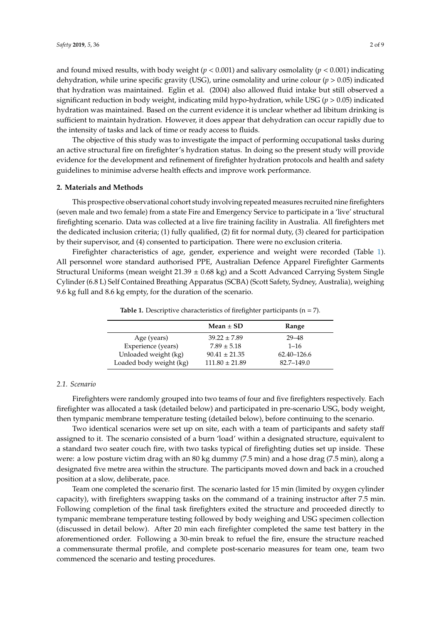and found mixed results, with body weight (*p* < 0.001) and salivary osmolality (*p* < 0.001) indicating dehydration, while urine specific gravity (USG), urine osmolality and urine colour (*p* > 0.05) indicated that hydration was maintained. Eglin et al. (2004) also allowed fluid intake but still observed a significant reduction in body weight, indicating mild hypo-hydration, while USG ( $p > 0.05$ ) indicated hydration was maintained. Based on the current evidence it is unclear whether ad libitum drinking is sufficient to maintain hydration. However, it does appear that dehydration can occur rapidly due to the intensity of tasks and lack of time or ready access to fluids.

The objective of this study was to investigate the impact of performing occupational tasks during an active structural fire on firefighter's hydration status. In doing so the present study will provide evidence for the development and refinement of firefighter hydration protocols and health and safety guidelines to minimise adverse health effects and improve work performance.

## **2. Materials and Methods**

This prospective observational cohort study involving repeated measures recruited nine firefighters (seven male and two female) from a state Fire and Emergency Service to participate in a 'live' structural firefighting scenario. Data was collected at a live fire training facility in Australia. All firefighters met the dedicated inclusion criteria; (1) fully qualified, (2) fit for normal duty, (3) cleared for participation by their supervisor, and (4) consented to participation. There were no exclusion criteria.

Firefighter characteristics of age, gender, experience and weight were recorded (Table [1\)](#page-2-0). All personnel wore standard authorised PPE, Australian Defence Apparel Firefighter Garments Structural Uniforms (mean weight  $21.39 \pm 0.68$  kg) and a Scott Advanced Carrying System Single Cylinder (6.8 L) Self Contained Breathing Apparatus (SCBA) (Scott Safety, Sydney, Australia), weighing 9.6 kg full and 8.6 kg empty, for the duration of the scenario.

**Table 1.** Descriptive characteristics of firefighter participants (n = 7).

<span id="page-2-0"></span>

| Range           |
|-----------------|
| 29–48           |
| $1 - 16$        |
| $62.40 - 126.6$ |
| $82.7 - 149.0$  |
|                 |

#### *2.1. Scenario*

Firefighters were randomly grouped into two teams of four and five firefighters respectively. Each firefighter was allocated a task (detailed below) and participated in pre-scenario USG, body weight, then tympanic membrane temperature testing (detailed below), before continuing to the scenario.

Two identical scenarios were set up on site, each with a team of participants and safety staff assigned to it. The scenario consisted of a burn 'load' within a designated structure, equivalent to a standard two seater couch fire, with two tasks typical of firefighting duties set up inside. These were: a low posture victim drag with an 80 kg dummy (7.5 min) and a hose drag (7.5 min), along a designated five metre area within the structure. The participants moved down and back in a crouched position at a slow, deliberate, pace.

Team one completed the scenario first. The scenario lasted for 15 min (limited by oxygen cylinder capacity), with firefighters swapping tasks on the command of a training instructor after 7.5 min. Following completion of the final task firefighters exited the structure and proceeded directly to tympanic membrane temperature testing followed by body weighing and USG specimen collection (discussed in detail below). After 20 min each firefighter completed the same test battery in the aforementioned order. Following a 30-min break to refuel the fire, ensure the structure reached a commensurate thermal profile, and complete post-scenario measures for team one, team two commenced the scenario and testing procedures.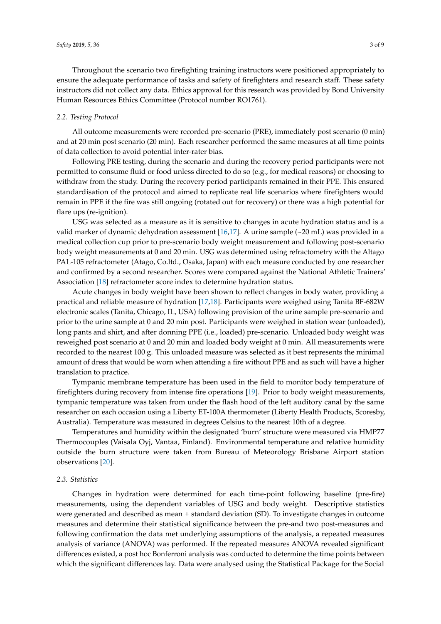Throughout the scenario two firefighting training instructors were positioned appropriately to ensure the adequate performance of tasks and safety of firefighters and research staff. These safety instructors did not collect any data. Ethics approval for this research was provided by Bond University Human Resources Ethics Committee (Protocol number RO1761).

#### *2.2. Testing Protocol*

All outcome measurements were recorded pre-scenario (PRE), immediately post scenario (0 min) and at 20 min post scenario (20 min). Each researcher performed the same measures at all time points of data collection to avoid potential inter-rater bias.

Following PRE testing, during the scenario and during the recovery period participants were not permitted to consume fluid or food unless directed to do so (e.g., for medical reasons) or choosing to withdraw from the study. During the recovery period participants remained in their PPE. This ensured standardisation of the protocol and aimed to replicate real life scenarios where firefighters would remain in PPE if the fire was still ongoing (rotated out for recovery) or there was a high potential for flare ups (re-ignition).

USG was selected as a measure as it is sensitive to changes in acute hydration status and is a valid marker of dynamic dehydration assessment [\[16](#page-8-12)[,17\]](#page-8-13). A urine sample (~20 mL) was provided in a medical collection cup prior to pre-scenario body weight measurement and following post-scenario body weight measurements at 0 and 20 min. USG was determined using refractometry with the Altago PAL-105 refractometer (Atago, Co.ltd., Osaka, Japan) with each measure conducted by one researcher and confirmed by a second researcher. Scores were compared against the National Athletic Trainers' Association [\[18\]](#page-8-14) refractometer score index to determine hydration status.

Acute changes in body weight have been shown to reflect changes in body water, providing a practical and reliable measure of hydration [\[17](#page-8-13)[,18\]](#page-8-14). Participants were weighed using Tanita BF-682W electronic scales (Tanita, Chicago, IL, USA) following provision of the urine sample pre-scenario and prior to the urine sample at 0 and 20 min post. Participants were weighed in station wear (unloaded), long pants and shirt, and after donning PPE (i.e., loaded) pre-scenario. Unloaded body weight was reweighed post scenario at 0 and 20 min and loaded body weight at 0 min. All measurements were recorded to the nearest 100 g. This unloaded measure was selected as it best represents the minimal amount of dress that would be worn when attending a fire without PPE and as such will have a higher translation to practice.

Tympanic membrane temperature has been used in the field to monitor body temperature of firefighters during recovery from intense fire operations [\[19\]](#page-8-15). Prior to body weight measurements, tympanic temperature was taken from under the flash hood of the left auditory canal by the same researcher on each occasion using a Liberty ET-100A thermometer (Liberty Health Products, Scoresby, Australia). Temperature was measured in degrees Celsius to the nearest 10th of a degree.

Temperatures and humidity within the designated 'burn' structure were measured via HMP77 Thermocouples (Vaisala Oyj, Vantaa, Finland). Environmental temperature and relative humidity outside the burn structure were taken from Bureau of Meteorology Brisbane Airport station observations [\[20\]](#page-8-16).

#### *2.3. Statistics*

Changes in hydration were determined for each time-point following baseline (pre-fire) measurements, using the dependent variables of USG and body weight. Descriptive statistics were generated and described as mean ± standard deviation (SD). To investigate changes in outcome measures and determine their statistical significance between the pre-and two post-measures and following confirmation the data met underlying assumptions of the analysis, a repeated measures analysis of variance (ANOVA) was performed. If the repeated measures ANOVA revealed significant differences existed, a post hoc Bonferroni analysis was conducted to determine the time points between which the significant differences lay. Data were analysed using the Statistical Package for the Social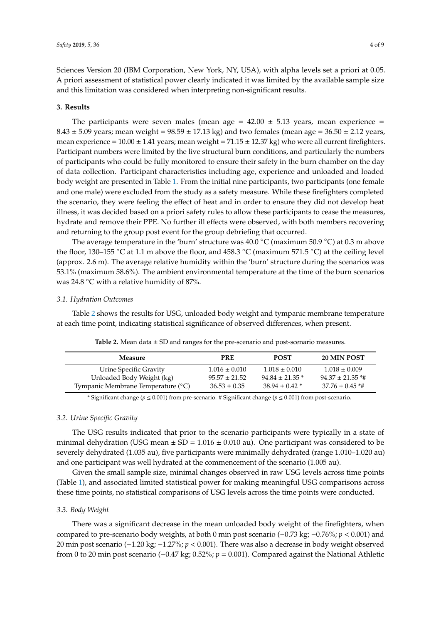Sciences Version 20 (IBM Corporation, New York, NY, USA), with alpha levels set a priori at 0.05. A priori assessment of statistical power clearly indicated it was limited by the available sample size and this limitation was considered when interpreting non-significant results.

# **3. Results**

The participants were seven males (mean age =  $42.00 \pm 5.13$  years, mean experience =  $8.43 \pm 5.09$  years; mean weight =  $98.59 \pm 17.13$  kg) and two females (mean age =  $36.50 \pm 2.12$  years, mean experience =  $10.00 \pm 1.41$  years; mean weight =  $71.15 \pm 12.37$  kg) who were all current firefighters. Participant numbers were limited by the live structural burn conditions, and particularly the numbers of participants who could be fully monitored to ensure their safety in the burn chamber on the day of data collection. Participant characteristics including age, experience and unloaded and loaded body weight are presented in Table [1.](#page-2-0) From the initial nine participants, two participants (one female and one male) were excluded from the study as a safety measure. While these firefighters completed the scenario, they were feeling the effect of heat and in order to ensure they did not develop heat illness, it was decided based on a priori safety rules to allow these participants to cease the measures, hydrate and remove their PPE. No further ill effects were observed, with both members recovering and returning to the group post event for the group debriefing that occurred.

The average temperature in the 'burn' structure was  $40.0\degree$ C (maximum 50.9 °C) at 0.3 m above the floor, 130–155 ◦C at 1.1 m above the floor, and 458.3 ◦C (maximum 571.5 ◦C) at the ceiling level (approx. 2.6 m). The average relative humidity within the 'burn' structure during the scenarios was 53.1% (maximum 58.6%). The ambient environmental temperature at the time of the burn scenarios was 24.8 ◦C with a relative humidity of 87%.

# *3.1. Hydration Outcomes*

Table [2](#page-4-0) shows the results for USG, unloaded body weight and tympanic membrane temperature at each time point, indicating statistical significance of observed differences, when present.

<span id="page-4-0"></span>

| Measure                                             | <b>PRE</b>                             | <b>POST</b>                              | 20 MIN POST                               |
|-----------------------------------------------------|----------------------------------------|------------------------------------------|-------------------------------------------|
| Urine Specific Gravity<br>Unloaded Body Weight (kg) | $1.016 \pm 0.010$<br>$95.57 \pm 21.52$ | $1.018 \pm 0.010$<br>$94.84 \pm 21.35$ * | $1.018 \pm 0.009$<br>$94.37 \pm 21.35$ *# |
| Tympanic Membrane Temperature (°C)                  | $36.53 \pm 0.35$                       | $38.94 \pm 0.42$ *                       | $37.76 \pm 0.45$ *#                       |

|  |  |  |  | Table 2. Mean data $\pm$ SD and ranges for the pre-scenario and post-scenario measures. |  |
|--|--|--|--|-----------------------------------------------------------------------------------------|--|
|  |  |  |  |                                                                                         |  |

\* Significant change (*p* ≤ 0.001) from pre-scenario. # Significant change (*p* ≤ 0.001) from post-scenario.

# *3.2. Urine Specific Gravity*

The USG results indicated that prior to the scenario participants were typically in a state of minimal dehydration (USG mean  $\pm$  SD = 1.016  $\pm$  0.010 au). One participant was considered to be severely dehydrated (1.035 au), five participants were minimally dehydrated (range 1.010–1.020 au) and one participant was well hydrated at the commencement of the scenario (1.005 au).

Given the small sample size, minimal changes observed in raw USG levels across time points (Table [1\)](#page-2-0), and associated limited statistical power for making meaningful USG comparisons across these time points, no statistical comparisons of USG levels across the time points were conducted.

# *3.3. Body Weight*

There was a significant decrease in the mean unloaded body weight of the firefighters, when compared to pre-scenario body weights, at both 0 min post scenario (−0.73 kg; −0.76%; *p* < 0.001) and 20 min post scenario (−1.20 kg; −1.27%; *p* < 0.001). There was also a decrease in body weight observed from 0 to 20 min post scenario (−0.47 kg; 0.52%; *p* = 0.001). Compared against the National Athletic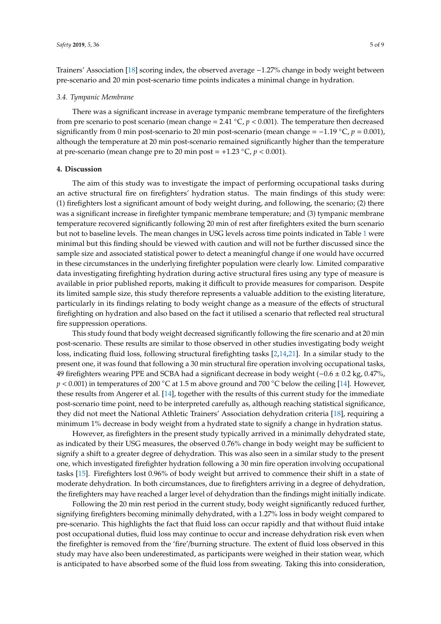Trainers' Association [\[18\]](#page-8-14) scoring index, the observed average −1.27% change in body weight between pre-scenario and 20 min post-scenario time points indicates a minimal change in hydration.

#### *3.4. Tympanic Membrane*

There was a significant increase in average tympanic membrane temperature of the firefighters from pre scenario to post scenario (mean change =  $2.41 \degree C$ ,  $p < 0.001$ ). The temperature then decreased significantly from 0 min post-scenario to 20 min post-scenario (mean change = −1.19 ◦C, *p* = 0.001), although the temperature at 20 min post-scenario remained significantly higher than the temperature at pre-scenario (mean change pre to 20 min post =  $+1.23$  °C,  $p < 0.001$ ).

### **4. Discussion**

The aim of this study was to investigate the impact of performing occupational tasks during an active structural fire on firefighters' hydration status. The main findings of this study were: (1) firefighters lost a significant amount of body weight during, and following, the scenario; (2) there was a significant increase in firefighter tympanic membrane temperature; and (3) tympanic membrane temperature recovered significantly following 20 min of rest after firefighters exited the burn scenario but not to baseline levels. The mean changes in USG levels across time points indicated in Table [1](#page-2-0) were minimal but this finding should be viewed with caution and will not be further discussed since the sample size and associated statistical power to detect a meaningful change if one would have occurred in these circumstances in the underlying firefighter population were clearly low. Limited comparative data investigating firefighting hydration during active structural fires using any type of measure is available in prior published reports, making it difficult to provide measures for comparison. Despite its limited sample size, this study therefore represents a valuable addition to the existing literature, particularly in its findings relating to body weight change as a measure of the effects of structural firefighting on hydration and also based on the fact it utilised a scenario that reflected real structural fire suppression operations.

This study found that body weight decreased significantly following the fire scenario and at 20 min post-scenario. These results are similar to those observed in other studies investigating body weight loss, indicating fluid loss, following structural firefighting tasks [\[2,](#page-8-1)[14,](#page-8-9)[21\]](#page-8-17). In a similar study to the present one, it was found that following a 30 min structural fire operation involving occupational tasks, 49 firefighters wearing PPE and SCBA had a significant decrease in body weight (−0.6 ± 0.2 kg, 0.47%,  $p < 0.001$ ) in temperatures of 200 °C at 1.5 m above ground and 700 °C below the ceiling [\[14\]](#page-8-9). However, these results from Angerer et al. [\[14\]](#page-8-9), together with the results of this current study for the immediate post-scenario time point, need to be interpreted carefully as, although reaching statistical significance, they did not meet the National Athletic Trainers' Association dehydration criteria [\[18\]](#page-8-14), requiring a minimum 1% decrease in body weight from a hydrated state to signify a change in hydration status.

However, as firefighters in the present study typically arrived in a minimally dehydrated state, as indicated by their USG measures, the observed 0.76% change in body weight may be sufficient to signify a shift to a greater degree of dehydration. This was also seen in a similar study to the present one, which investigated firefighter hydration following a 30 min fire operation involving occupational tasks [\[15\]](#page-8-11). Firefighters lost 0.96% of body weight but arrived to commence their shift in a state of moderate dehydration. In both circumstances, due to firefighters arriving in a degree of dehydration, the firefighters may have reached a larger level of dehydration than the findings might initially indicate.

Following the 20 min rest period in the current study, body weight significantly reduced further, signifying firefighters becoming minimally dehydrated, with a 1.27% loss in body weight compared to pre-scenario. This highlights the fact that fluid loss can occur rapidly and that without fluid intake post occupational duties, fluid loss may continue to occur and increase dehydration risk even when the firefighter is removed from the 'fire'/burning structure. The extent of fluid loss observed in this study may have also been underestimated, as participants were weighed in their station wear, which is anticipated to have absorbed some of the fluid loss from sweating. Taking this into consideration,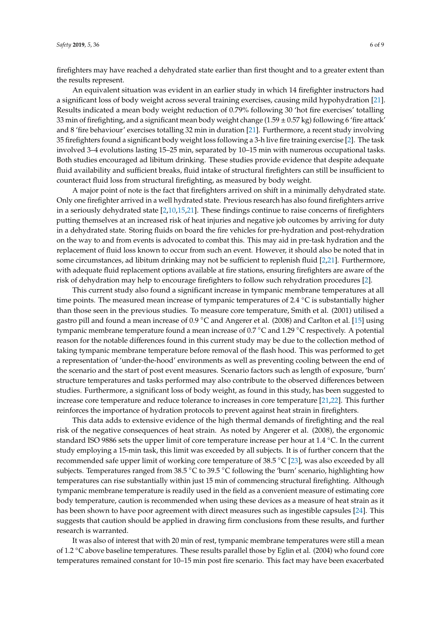firefighters may have reached a dehydrated state earlier than first thought and to a greater extent than the results represent.

An equivalent situation was evident in an earlier study in which 14 firefighter instructors had a significant loss of body weight across several training exercises, causing mild hypohydration [\[21\]](#page-8-17). Results indicated a mean body weight reduction of 0.79% following 30 'hot fire exercises' totalling 33 min of firefighting, and a significant mean body weight change  $(1.59 \pm 0.57 \text{ kg})$  following 6 'fire attack' and 8 'fire behaviour' exercises totalling 32 min in duration [\[21\]](#page-8-17). Furthermore, a recent study involving 35 firefighters found a significant body weight loss following a 3-h live fire training exercise [\[2\]](#page-8-1). The task involved 3–4 evolutions lasting 15–25 min, separated by 10–15 min with numerous occupational tasks. Both studies encouraged ad libitum drinking. These studies provide evidence that despite adequate fluid availability and sufficient breaks, fluid intake of structural firefighters can still be insufficient to counteract fluid loss from structural firefighting, as measured by body weight.

A major point of note is the fact that firefighters arrived on shift in a minimally dehydrated state. Only one firefighter arrived in a well hydrated state. Previous research has also found firefighters arrive in a seriously dehydrated state [\[2](#page-8-1)[,10](#page-8-5)[,15](#page-8-11)[,21\]](#page-8-17). These findings continue to raise concerns of firefighters putting themselves at an increased risk of heat injuries and negative job outcomes by arriving for duty in a dehydrated state. Storing fluids on board the fire vehicles for pre-hydration and post-rehydration on the way to and from events is advocated to combat this. This may aid in pre-task hydration and the replacement of fluid loss known to occur from such an event. However, it should also be noted that in some circumstances, ad libitum drinking may not be sufficient to replenish fluid [\[2,](#page-8-1)[21\]](#page-8-17). Furthermore, with adequate fluid replacement options available at fire stations, ensuring firefighters are aware of the risk of dehydration may help to encourage firefighters to follow such rehydration procedures [\[2\]](#page-8-1).

This current study also found a significant increase in tympanic membrane temperatures at all time points. The measured mean increase of tympanic temperatures of 2.4 ◦C is substantially higher than those seen in the previous studies. To measure core temperature, Smith et al. (2001) utilised a gastro pill and found a mean increase of 0.9 °C and Angerer et al. (2008) and Carlton et al. [\[15\]](#page-8-11) using tympanic membrane temperature found a mean increase of 0.7 ◦C and 1.29 ◦C respectively. A potential reason for the notable differences found in this current study may be due to the collection method of taking tympanic membrane temperature before removal of the flash hood. This was performed to get a representation of 'under-the-hood' environments as well as preventing cooling between the end of the scenario and the start of post event measures. Scenario factors such as length of exposure, 'burn' structure temperatures and tasks performed may also contribute to the observed differences between studies. Furthermore, a significant loss of body weight, as found in this study, has been suggested to increase core temperature and reduce tolerance to increases in core temperature [\[21](#page-8-17)[,22\]](#page-9-0). This further reinforces the importance of hydration protocols to prevent against heat strain in firefighters.

This data adds to extensive evidence of the high thermal demands of firefighting and the real risk of the negative consequences of heat strain. As noted by Angerer et al. (2008), the ergonomic standard ISO 9886 sets the upper limit of core temperature increase per hour at 1.4 ◦C. In the current study employing a 15-min task, this limit was exceeded by all subjects. It is of further concern that the recommended safe upper limit of working core temperature of 38.5 ◦C [\[23\]](#page-9-1), was also exceeded by all subjects. Temperatures ranged from 38.5 °C to 39.5 °C following the 'burn' scenario, highlighting how temperatures can rise substantially within just 15 min of commencing structural firefighting. Although tympanic membrane temperature is readily used in the field as a convenient measure of estimating core body temperature, caution is recommended when using these devices as a measure of heat strain as it has been shown to have poor agreement with direct measures such as ingestible capsules [\[24\]](#page-9-2). This suggests that caution should be applied in drawing firm conclusions from these results, and further research is warranted.

It was also of interest that with 20 min of rest, tympanic membrane temperatures were still a mean of 1.2 ◦C above baseline temperatures. These results parallel those by Eglin et al. (2004) who found core temperatures remained constant for 10–15 min post fire scenario. This fact may have been exacerbated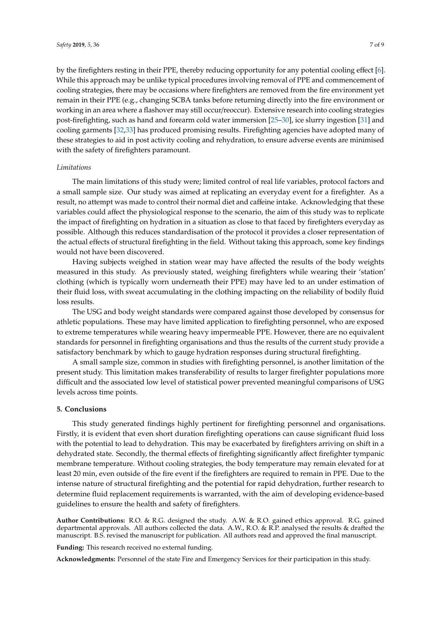by the firefighters resting in their PPE, thereby reducing opportunity for any potential cooling effect [\[6\]](#page-8-3).

While this approach may be unlike typical procedures involving removal of PPE and commencement of cooling strategies, there may be occasions where firefighters are removed from the fire environment yet remain in their PPE (e.g., changing SCBA tanks before returning directly into the fire environment or working in an area where a flashover may still occur/reoccur). Extensive research into cooling strategies post-firefighting, such as hand and forearm cold water immersion [\[25–](#page-9-3)[30\]](#page-9-4), ice slurry ingestion [\[31\]](#page-9-5) and cooling garments [\[32,](#page-9-6)[33\]](#page-9-7) has produced promising results. Firefighting agencies have adopted many of these strategies to aid in post activity cooling and rehydration, to ensure adverse events are minimised with the safety of firefighters paramount.

#### *Limitations*

The main limitations of this study were; limited control of real life variables, protocol factors and a small sample size. Our study was aimed at replicating an everyday event for a firefighter. As a result, no attempt was made to control their normal diet and caffeine intake. Acknowledging that these variables could affect the physiological response to the scenario, the aim of this study was to replicate the impact of firefighting on hydration in a situation as close to that faced by firefighters everyday as possible. Although this reduces standardisation of the protocol it provides a closer representation of the actual effects of structural firefighting in the field. Without taking this approach, some key findings would not have been discovered.

Having subjects weighed in station wear may have affected the results of the body weights measured in this study. As previously stated, weighing firefighters while wearing their 'station' clothing (which is typically worn underneath their PPE) may have led to an under estimation of their fluid loss, with sweat accumulating in the clothing impacting on the reliability of bodily fluid loss results.

The USG and body weight standards were compared against those developed by consensus for athletic populations. These may have limited application to firefighting personnel, who are exposed to extreme temperatures while wearing heavy impermeable PPE. However, there are no equivalent standards for personnel in firefighting organisations and thus the results of the current study provide a satisfactory benchmark by which to gauge hydration responses during structural firefighting.

A small sample size, common in studies with firefighting personnel, is another limitation of the present study. This limitation makes transferability of results to larger firefighter populations more difficult and the associated low level of statistical power prevented meaningful comparisons of USG levels across time points.

## **5. Conclusions**

This study generated findings highly pertinent for firefighting personnel and organisations. Firstly, it is evident that even short duration firefighting operations can cause significant fluid loss with the potential to lead to dehydration. This may be exacerbated by firefighters arriving on shift in a dehydrated state. Secondly, the thermal effects of firefighting significantly affect firefighter tympanic membrane temperature. Without cooling strategies, the body temperature may remain elevated for at least 20 min, even outside of the fire event if the firefighters are required to remain in PPE. Due to the intense nature of structural firefighting and the potential for rapid dehydration, further research to determine fluid replacement requirements is warranted, with the aim of developing evidence-based guidelines to ensure the health and safety of firefighters.

**Author Contributions:** R.O. & R.G. designed the study. A.W. & R.O. gained ethics approval. R.G. gained departmental approvals. All authors collected the data. A.W., R.O. & R.P. analysed the results & drafted the manuscript. B.S. revised the manuscript for publication. All authors read and approved the final manuscript.

**Funding:** This research received no external funding.

**Acknowledgments:** Personnel of the state Fire and Emergency Services for their participation in this study.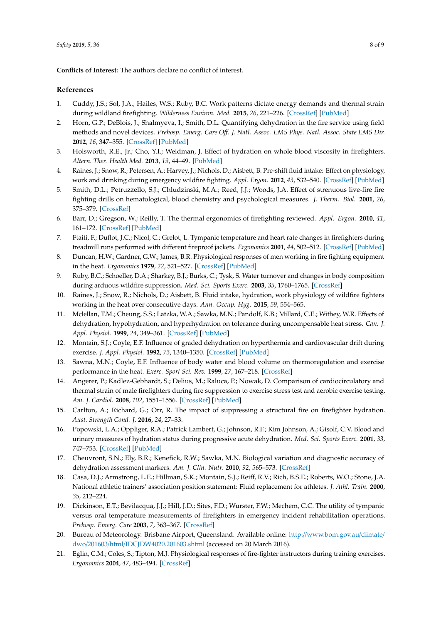**Conflicts of Interest:** The authors declare no conflict of interest.

# **References**

- <span id="page-8-0"></span>1. Cuddy, J.S.; Sol, J.A.; Hailes, W.S.; Ruby, B.C. Work patterns dictate energy demands and thermal strain during wildland firefighting. *Wilderness Environ. Med.* **2015**, *26*, 221–226. [\[CrossRef\]](http://dx.doi.org/10.1016/j.wem.2014.12.010) [\[PubMed\]](http://www.ncbi.nlm.nih.gov/pubmed/25772825)
- <span id="page-8-1"></span>2. Horn, G.P.; DeBlois, J.; Shalmyeva, I.; Smith, D.L. Quantifying dehydration in the fire service using field methods and novel devices. *Prehosp. Emerg. Care O*ff*. J. Natl. Assoc. EMS Phys. Natl. Assoc. State EMS Dir.* **2012**, *16*, 347–355. [\[CrossRef\]](http://dx.doi.org/10.3109/10903127.2012.664243) [\[PubMed\]](http://www.ncbi.nlm.nih.gov/pubmed/22443314)
- <span id="page-8-10"></span>3. Holsworth, R.E., Jr.; Cho, Y.I.; Weidman, J. Effect of hydration on whole blood viscosity in firefighters. *Altern. Ther. Health Med.* **2013**, *19*, 44–49. [\[PubMed\]](http://www.ncbi.nlm.nih.gov/pubmed/23981371)
- 4. Raines, J.; Snow, R.; Petersen, A.; Harvey, J.; Nichols, D.; Aisbett, B. Pre-shift fluid intake: Effect on physiology, work and drinking during emergency wildfire fighting. *Appl. Ergon.* **2012**, *43*, 532–540. [\[CrossRef\]](http://dx.doi.org/10.1016/j.apergo.2011.08.007) [\[PubMed\]](http://www.ncbi.nlm.nih.gov/pubmed/21906723)
- <span id="page-8-2"></span>5. Smith, D.L.; Petruzzello, S.J.; Chludzinski, M.A.; Reed, J.J.; Woods, J.A. Effect of strenuous live-fire fire fighting drills on hematological, blood chemistry and psychological measures. *J. Therm. Biol.* **2001**, *26*, 375–379. [\[CrossRef\]](http://dx.doi.org/10.1016/S0306-4565(01)00047-X)
- <span id="page-8-3"></span>6. Barr, D.; Gregson, W.; Reilly, T. The thermal ergonomics of firefighting reviewed. *Appl. Ergon.* **2010**, *41*, 161–172. [\[CrossRef\]](http://dx.doi.org/10.1016/j.apergo.2009.07.001) [\[PubMed\]](http://www.ncbi.nlm.nih.gov/pubmed/19664755)
- 7. Ftaiti, F.; Duflot, J.C.; Nicol, C.; Grelot, L. Tympanic temperature and heart rate changes in firefighters during treadmill runs performed with different fireproof jackets. *Ergonomics* **2001**, *44*, 502–512. [\[CrossRef\]](http://dx.doi.org/10.1080/00140130118503) [\[PubMed\]](http://www.ncbi.nlm.nih.gov/pubmed/11345493)
- 8. Duncan, H.W.; Gardner, G.W.; James, B.R. Physiological responses of men working in fire fighting equipment in the heat. *Ergonomics* **1979**, *22*, 521–527. [\[CrossRef\]](http://dx.doi.org/10.1080/00140137908924636) [\[PubMed\]](http://www.ncbi.nlm.nih.gov/pubmed/520284)
- <span id="page-8-4"></span>9. Ruby, B.C.; Schoeller, D.A.; Sharkey, B.J.; Burks, C.; Tysk, S. Water turnover and changes in body composition during arduous wildfire suppression. *Med. Sci. Sports Exerc.* **2003**, *35*, 1760–1765. [\[CrossRef\]](http://dx.doi.org/10.1249/01.MSS.0000089348.39312.4D)
- <span id="page-8-5"></span>10. Raines, J.; Snow, R.; Nichols, D.; Aisbett, B. Fluid intake, hydration, work physiology of wildfire fighters working in the heat over consecutive days. *Ann. Occup. Hyg.* **2015**, *59*, 554–565.
- <span id="page-8-6"></span>11. Mclellan, T.M.; Cheung, S.S.; Latzka, W.A.; Sawka, M.N.; Pandolf, K.B.; Millard, C.E.; Withey, W.R. Effects of dehydration, hypohydration, and hyperhydration on tolerance during uncompensable heat stress. *Can. J. Appl. Physiol.* **1999**, *24*, 349–361. [\[CrossRef\]](http://dx.doi.org/10.1139/h99-027) [\[PubMed\]](http://www.ncbi.nlm.nih.gov/pubmed/10470451)
- <span id="page-8-7"></span>12. Montain, S.J.; Coyle, E.F. Influence of graded dehydration on hyperthermia and cardiovascular drift during exercise. *J. Appl. Physiol.* **1992**, *73*, 1340–1350. [\[CrossRef\]](http://dx.doi.org/10.1152/jappl.1992.73.4.1340) [\[PubMed\]](http://www.ncbi.nlm.nih.gov/pubmed/1447078)
- <span id="page-8-8"></span>13. Sawna, M.N.; Coyle, E.F. Influence of body water and blood volume on thermoregulation and exercise performance in the heat. *Exerc. Sport Sci. Rev.* **1999**, *27*, 167–218. [\[CrossRef\]](http://dx.doi.org/10.1249/00003677-199900270-00008)
- <span id="page-8-9"></span>14. Angerer, P.; Kadlez-Gebhardt, S.; Delius, M.; Raluca, P.; Nowak, D. Comparison of cardiocirculatory and thermal strain of male firefighters during fire suppression to exercise stress test and aerobic exercise testing. *Am. J. Cardiol.* **2008**, *102*, 1551–1556. [\[CrossRef\]](http://dx.doi.org/10.1016/j.amjcard.2008.07.052) [\[PubMed\]](http://www.ncbi.nlm.nih.gov/pubmed/19026313)
- <span id="page-8-11"></span>15. Carlton, A.; Richard, G.; Orr, R. The impact of suppressing a structural fire on firefighter hydration. *Aust. Strength Cond. J.* **2016**, *24*, 27–33.
- <span id="page-8-12"></span>16. Popowski, L.A.; Oppliger, R.A.; Patrick Lambert, G.; Johnson, R.F.; Kim Johnson, A.; Gisolf, C.V. Blood and urinary measures of hydration status during progressive acute dehydration. *Med. Sci. Sports Exerc.* **2001**, *33*, 747–753. [\[CrossRef\]](http://dx.doi.org/10.1097/00005768-200105000-00011) [\[PubMed\]](http://www.ncbi.nlm.nih.gov/pubmed/11323543)
- <span id="page-8-13"></span>17. Cheuvront, S.N.; Ely, B.R.; Kenefick, R.W.; Sawka, M.N. Biological variation and diagnostic accuracy of dehydration assessment markers. *Am. J. Clin. Nutr.* **2010**, *92*, 565–573. [\[CrossRef\]](http://dx.doi.org/10.3945/ajcn.2010.29490)
- <span id="page-8-14"></span>18. Casa, D.J.; Armstrong, L.E.; Hillman, S.K.; Montain, S.J.; Reiff, R.V.; Rich, B.S.E.; Roberts, W.O.; Stone, J.A. National athletic trainers' association position statement: Fluid replacement for athletes. *J. Athl. Train.* **2000**, *35*, 212–224.
- <span id="page-8-15"></span>19. Dickinson, E.T.; Bevilacqua, J.J.; Hill, J.D.; Sites, F.D.; Wurster, F.W.; Mechem, C.C. The utility of tympanic versus oral temperature measurements of firefighters in emergency incident rehabilitation operations. *Prehosp. Emerg. Care* **2003**, *7*, 363–367. [\[CrossRef\]](http://dx.doi.org/10.1080/10903120390936572)
- <span id="page-8-16"></span>20. Bureau of Meteorology. Brisbane Airport, Queensland. Available online: http://[www.bom.gov.au](http://www.bom.gov.au/climate/dwo/201603/html/IDCJDW4020.201603.shtml)/climate/ dwo/201603/html/[IDCJDW4020.201603.shtml](http://www.bom.gov.au/climate/dwo/201603/html/IDCJDW4020.201603.shtml) (accessed on 20 March 2016).
- <span id="page-8-17"></span>21. Eglin, C.M.; Coles, S.; Tipton, M.J. Physiological responses of fire-fighter instructors during training exercises. *Ergonomics* **2004**, *47*, 483–494. [\[CrossRef\]](http://dx.doi.org/10.1080/0014013031000107568)